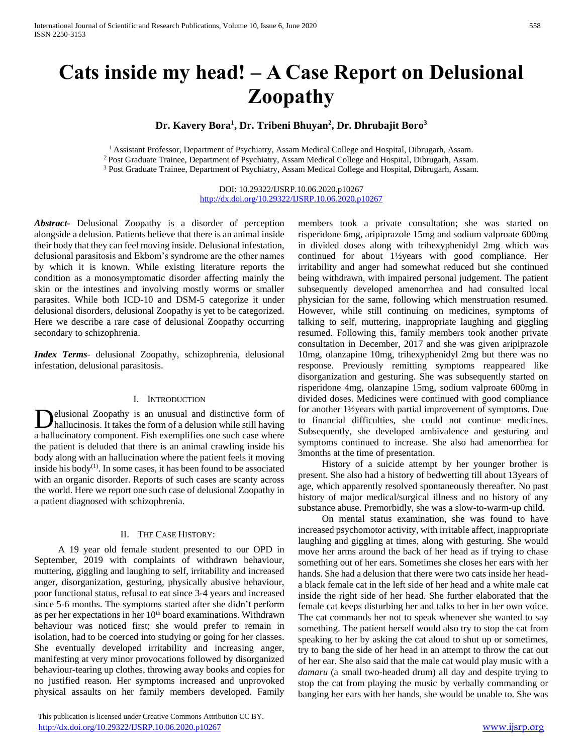# **Cats inside my head! – A Case Report on Delusional Zoopathy**

**Dr. Kavery Bora<sup>1</sup> , Dr. Tribeni Bhuyan<sup>2</sup> , Dr. Dhrubajit Boro<sup>3</sup>**

<sup>1</sup>Assistant Professor, Department of Psychiatry, Assam Medical College and Hospital, Dibrugarh, Assam. <sup>2</sup>Post Graduate Trainee, Department of Psychiatry, Assam Medical College and Hospital, Dibrugarh, Assam. <sup>3</sup> Post Graduate Trainee, Department of Psychiatry, Assam Medical College and Hospital, Dibrugarh, Assam.

> DOI: 10.29322/IJSRP.10.06.2020.p10267 <http://dx.doi.org/10.29322/IJSRP.10.06.2020.p10267>

*Abstract***-** Delusional Zoopathy is a disorder of perception alongside a delusion. Patients believe that there is an animal inside their body that they can feel moving inside. Delusional infestation, delusional parasitosis and Ekbom's syndrome are the other names by which it is known. While existing literature reports the condition as a monosymptomatic disorder affecting mainly the skin or the intestines and involving mostly worms or smaller parasites. While both ICD-10 and DSM-5 categorize it under delusional disorders, delusional Zoopathy is yet to be categorized. Here we describe a rare case of delusional Zoopathy occurring secondary to schizophrenia.

*Index Terms*- delusional Zoopathy, schizophrenia, delusional infestation, delusional parasitosis.

## I. INTRODUCTION

elusional Zoopathy is an unusual and distinctive form of **hallucinosis.** It takes the form of a delusion while still having which will have a delusion while still having a hallucinatory component. Fish exemplifies one such case where the patient is deluded that there is an animal crawling inside his body along with an hallucination where the patient feels it moving inside his body $(1)$ . In some cases, it has been found to be associated with an organic disorder. Reports of such cases are scanty across the world. Here we report one such case of delusional Zoopathy in a patient diagnosed with schizophrenia.

## II. THE CASE HISTORY:

 A 19 year old female student presented to our OPD in September, 2019 with complaints of withdrawn behaviour, muttering, giggling and laughing to self, irritability and increased anger, disorganization, gesturing, physically abusive behaviour, poor functional status, refusal to eat since 3-4 years and increased since 5-6 months. The symptoms started after she didn't perform as per her expectations in her 10<sup>th</sup> board examinations. Withdrawn behaviour was noticed first; she would prefer to remain in isolation, had to be coerced into studying or going for her classes. She eventually developed irritability and increasing anger, manifesting at very minor provocations followed by disorganized behaviour-tearing up clothes, throwing away books and copies for no justified reason. Her symptoms increased and unprovoked physical assaults on her family members developed. Family

 This publication is licensed under Creative Commons Attribution CC BY. <http://dx.doi.org/10.29322/IJSRP.10.06.2020.p10267> [www.ijsrp.org](http://ijsrp.org/)

members took a private consultation; she was started on risperidone 6mg, aripiprazole 15mg and sodium valproate 600mg in divided doses along with trihexyphenidyl 2mg which was continued for about 1½years with good compliance. Her irritability and anger had somewhat reduced but she continued being withdrawn, with impaired personal judgement. The patient subsequently developed amenorrhea and had consulted local physician for the same, following which menstruation resumed. However, while still continuing on medicines, symptoms of talking to self, muttering, inappropriate laughing and giggling resumed. Following this, family members took another private consultation in December, 2017 and she was given aripiprazole 10mg, olanzapine 10mg, trihexyphenidyl 2mg but there was no response. Previously remitting symptoms reappeared like disorganization and gesturing. She was subsequently started on risperidone 4mg, olanzapine 15mg, sodium valproate 600mg in divided doses. Medicines were continued with good compliance for another 1½years with partial improvement of symptoms. Due to financial difficulties, she could not continue medicines. Subsequently, she developed ambivalence and gesturing and symptoms continued to increase. She also had amenorrhea for 3months at the time of presentation.

 History of a suicide attempt by her younger brother is present. She also had a history of bedwetting till about 13years of age, which apparently resolved spontaneously thereafter. No past history of major medical/surgical illness and no history of any substance abuse. Premorbidly, she was a slow-to-warm-up child.

 On mental status examination, she was found to have increased psychomotor activity, with irritable affect, inappropriate laughing and giggling at times, along with gesturing. She would move her arms around the back of her head as if trying to chase something out of her ears. Sometimes she closes her ears with her hands. She had a delusion that there were two cats inside her heada black female cat in the left side of her head and a white male cat inside the right side of her head. She further elaborated that the female cat keeps disturbing her and talks to her in her own voice. The cat commands her not to speak whenever she wanted to say something. The patient herself would also try to stop the cat from speaking to her by asking the cat aloud to shut up or sometimes, try to bang the side of her head in an attempt to throw the cat out of her ear. She also said that the male cat would play music with a *damaru* (a small two-headed drum) all day and despite trying to stop the cat from playing the music by verbally commanding or banging her ears with her hands, she would be unable to. She was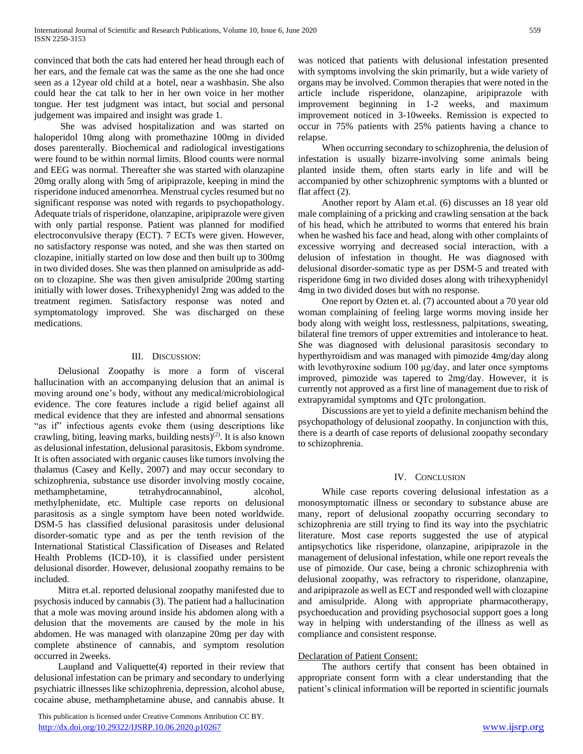convinced that both the cats had entered her head through each of her ears, and the female cat was the same as the one she had once seen as a 12year old child at a hotel, near a washbasin. She also could hear the cat talk to her in her own voice in her mother tongue. Her test judgment was intact, but social and personal judgement was impaired and insight was grade 1.

 She was advised hospitalization and was started on haloperidol 10mg along with promethazine 100mg in divided doses parenterally. Biochemical and radiological investigations were found to be within normal limits. Blood counts were normal and EEG was normal. Thereafter she was started with olanzapine 20mg orally along with 5mg of aripiprazole, keeping in mind the risperidone induced amenorrhea. Menstrual cycles resumed but no significant response was noted with regards to psychopathology. Adequate trials of risperidone, olanzapine, aripiprazole were given with only partial response. Patient was planned for modified electroconvulsive therapy (ECT). 7 ECTs were given. However, no satisfactory response was noted, and she was then started on clozapine, initially started on low dose and then built up to 300mg in two divided doses. She was then planned on amisulpride as addon to clozapine. She was then given amisulpride 200mg starting initially with lower doses. Trihexyphenidyl 2mg was added to the treatment regimen. Satisfactory response was noted and symptomatology improved. She was discharged on these medications.

## III. DISCUSSION:

 Delusional Zoopathy is more a form of visceral hallucination with an accompanying delusion that an animal is moving around one's body, without any medical/microbiological evidence. The core features include a rigid belief against all medical evidence that they are infested and abnormal sensations "as if" infectious agents evoke them (using descriptions like crawling, biting, leaving marks, building nests)<sup>(2)</sup>. It is also known as delusional infestation, delusional parasitosis, Ekbom syndrome. It is often associated with organic causes like tumors involving the thalamus (Casey and Kelly, 2007) and may occur secondary to schizophrenia, substance use disorder involving mostly cocaine, methamphetamine, tetrahydrocannabinol, alcohol, methylphenidate, etc. Multiple case reports on delusional parasitosis as a single symptom have been noted worldwide. DSM-5 has classified delusional parasitosis under delusional disorder-somatic type and as per the tenth revision of the International Statistical Classification of Diseases and Related Health Problems (ICD-10), it is classified under persistent delusional disorder. However, delusional zoopathy remains to be included.

 Mitra et.al. reported delusional zoopathy manifested due to psychosis induced by cannabis (3). The patient had a hallucination that a mole was moving around inside his abdomen along with a delusion that the movements are caused by the mole in his abdomen. He was managed with olanzapine 20mg per day with complete abstinence of cannabis, and symptom resolution occurred in 2weeks.

 Laupland and Valiquette(4) reported in their review that delusional infestation can be primary and secondary to underlying psychiatric illnesses like schizophrenia, depression, alcohol abuse, cocaine abuse, methamphetamine abuse, and cannabis abuse. It

 This publication is licensed under Creative Commons Attribution CC BY. <http://dx.doi.org/10.29322/IJSRP.10.06.2020.p10267> [www.ijsrp.org](http://ijsrp.org/)

was noticed that patients with delusional infestation presented with symptoms involving the skin primarily, but a wide variety of organs may be involved. Common therapies that were noted in the article include risperidone, olanzapine, aripiprazole with improvement beginning in 1-2 weeks, and maximum improvement noticed in 3-10weeks. Remission is expected to occur in 75% patients with 25% patients having a chance to relapse.

 When occurring secondary to schizophrenia, the delusion of infestation is usually bizarre-involving some animals being planted inside them, often starts early in life and will be accompanied by other schizophrenic symptoms with a blunted or flat affect (2).

 Another report by Alam et.al. (6) discusses an 18 year old male complaining of a pricking and crawling sensation at the back of his head, which he attributed to worms that entered his brain when he washed his face and head, along with other complaints of excessive worrying and decreased social interaction, with a delusion of infestation in thought. He was diagnosed with delusional disorder-somatic type as per DSM-5 and treated with risperidone 6mg in two divided doses along with trihexyphenidyl 4mg in two divided doses but with no response.

 One report by Ozten et. al. (7) accounted about a 70 year old woman complaining of feeling large worms moving inside her body along with weight loss, restlessness, palpitations, sweating, bilateral fine tremors of upper extremities and intolerance to heat. She was diagnosed with delusional parasitosis secondary to hyperthyroidism and was managed with pimozide 4mg/day along with levothyroxine sodium 100 μg/day, and later once symptoms improved, pimozide was tapered to 2mg/day. However, it is currently not approved as a first line of management due to risk of extrapyramidal symptoms and QTc prolongation.

 Discussions are yet to yield a definite mechanism behind the psychopathology of delusional zoopathy. In conjunction with this, there is a dearth of case reports of delusional zoopathy secondary to schizophrenia.

## IV. CONCLUSION

 While case reports covering delusional infestation as a monosymptomatic illness or secondary to substance abuse are many, report of delusional zoopathy occurring secondary to schizophrenia are still trying to find its way into the psychiatric literature. Most case reports suggested the use of atypical antipsychotics like risperidone, olanzapine, aripiprazole in the management of delusional infestation, while one report reveals the use of pimozide. Our case, being a chronic schizophrenia with delusional zoopathy, was refractory to risperidone, olanzapine, and aripiprazole as well as ECT and responded well with clozapine and amisulpride. Along with appropriate pharmacotherapy, psychoeducation and providing psychosocial support goes a long way in helping with understanding of the illness as well as compliance and consistent response.

## Declaration of Patient Consent:

 The authors certify that consent has been obtained in appropriate consent form with a clear understanding that the patient's clinical information will be reported in scientific journals